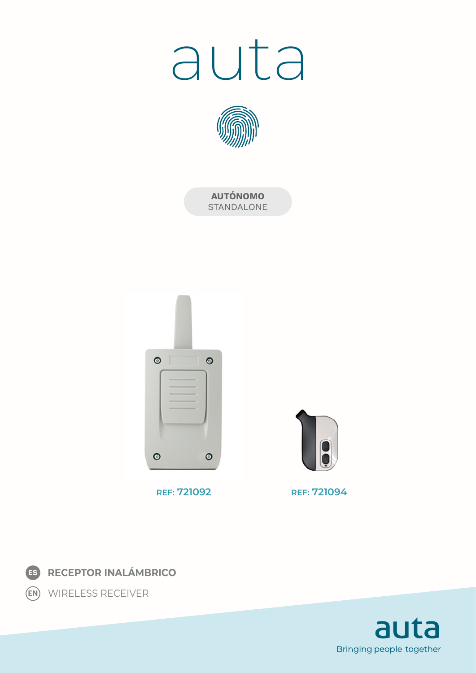# auta



**AUTÓNOMO** STANDALONE



**REF: 721092 REF: 721094**





WIRELESS RECEIVER **EN**